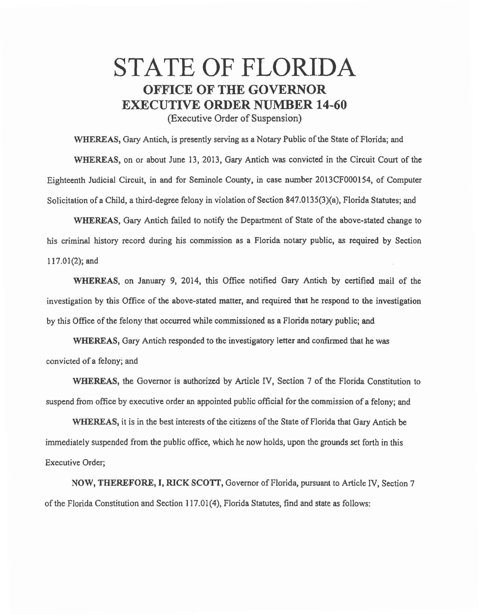## STATE OF FLORIDA OFFICE OF THE GOVERNOR EXECUTIVE ORDER NUMBER 14-60

(Executive Order of Suspension)

WHEREAS, Gary Antich, is presently serving as a Notary Public of the State of Florida; and

WHEREAS, on or about June 13, 2013, Gary Antich was convicted in the Circuit Court of the Eighteenth Judicial Circuit, in and for Seminole County, in case number 2013CF000154, of Computer Solicitation of a Child, a third-degree felony in violation of Section 847.0135(3)(a), Florida Statutes; and

WHEREAS, Gary Antich failed to notify the Department of State of the above-stated change to his criminal history record during his commission as a Florida notary public, as required by Section 117.01(2); and

WHEREAS, on January 9, 2014, this Office notified Gary Antich by certified mail of the investigation by this Office of the above-stated matter, and required that he respond to the investigation by this Office of the felony that occurred while commissioned as a Florida notary public; and

WHEREAS, Gary Antich responded to the investigatory letter and confirmed that he was convicted of a felony; and

WHEREAS, the Governor is authorized by Article IV, Section 7 of the Florida Constitution to suspend from office by executive order an appointed public official for the commission of a felony; and

WHEREAS, it is in the best interests of the citizens of the State of Florida that Gary Antich be immediately suspended from the public office, which he now holds, upon the grounds set forth in this Executive Order;

NOW, THEREFORE, I, RICK SCOTT, Governor of Florida, pursuant to Article IV, Section 7 of the Florida Constitution and Section 117.01(4), Florida Statutes, find and state as follows: